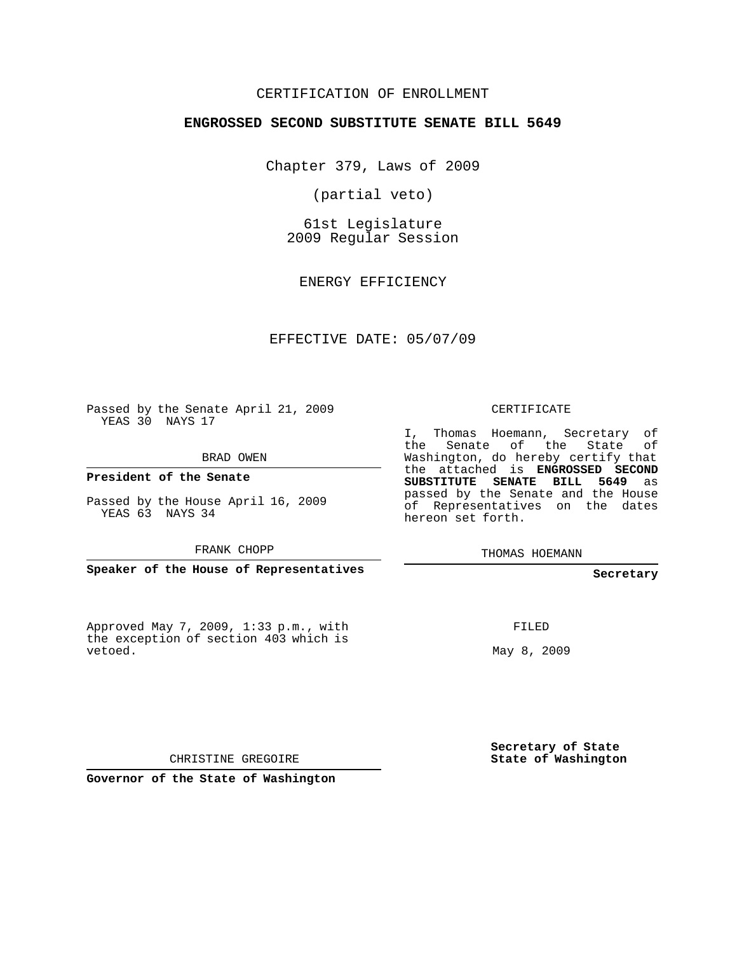#### CERTIFICATION OF ENROLLMENT

#### **ENGROSSED SECOND SUBSTITUTE SENATE BILL 5649**

Chapter 379, Laws of 2009

(partial veto)

61st Legislature 2009 Regular Session

ENERGY EFFICIENCY

EFFECTIVE DATE: 05/07/09

Passed by the Senate April 21, 2009 YEAS 30 NAYS 17

BRAD OWEN

FRANK CHOPP

the exception of section 403 which is vetoed.

CERTIFICATE

I, Thomas Hoemann, Secretary of the Senate of the State of Washington, do hereby certify that the attached is **ENGROSSED SECOND SUBSTITUTE SENATE BILL 5649** as passed by the Senate and the House of Representatives on the dates hereon set forth.

THOMAS HOEMANN

**Secretary**

FILED

May 8, 2009

**Secretary of State State of Washington**

CHRISTINE GREGOIRE

**Governor of the State of Washington**

**President of the Senate**

Passed by the House April 16, 2009 YEAS 63 NAYS 34

**Speaker of the House of Representatives**

Approved May 7, 2009, 1:33 p.m., with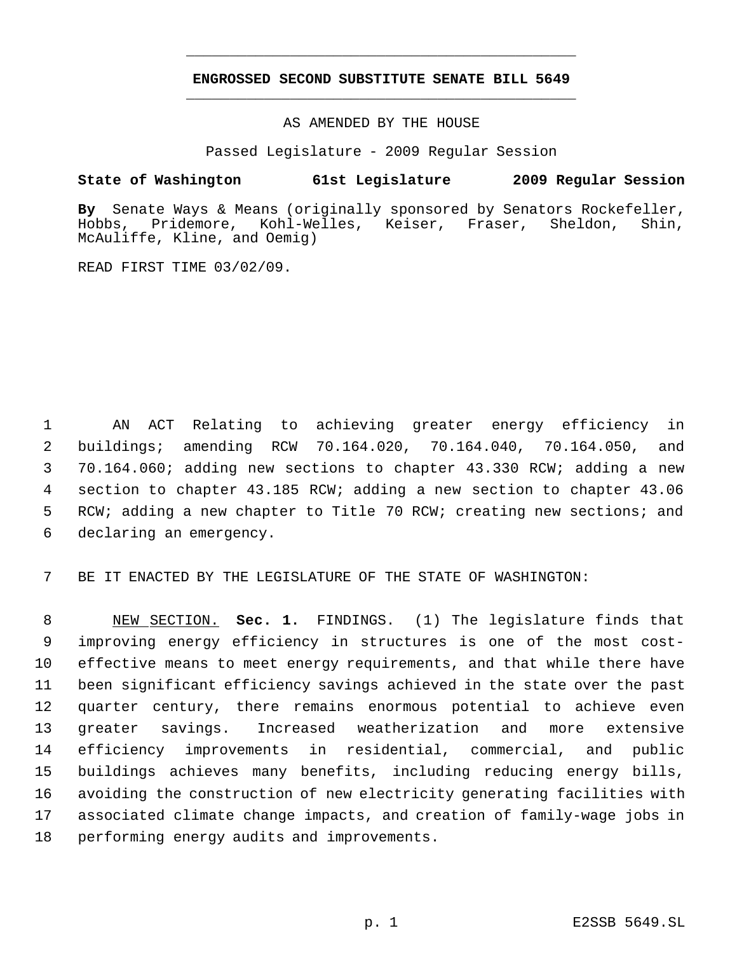# **ENGROSSED SECOND SUBSTITUTE SENATE BILL 5649** \_\_\_\_\_\_\_\_\_\_\_\_\_\_\_\_\_\_\_\_\_\_\_\_\_\_\_\_\_\_\_\_\_\_\_\_\_\_\_\_\_\_\_\_\_

\_\_\_\_\_\_\_\_\_\_\_\_\_\_\_\_\_\_\_\_\_\_\_\_\_\_\_\_\_\_\_\_\_\_\_\_\_\_\_\_\_\_\_\_\_

AS AMENDED BY THE HOUSE

Passed Legislature - 2009 Regular Session

#### **State of Washington 61st Legislature 2009 Regular Session**

By Senate Ways & Means (originally sponsored by Senators Rockefeller,<br>Hobbs, Pridemore, Kohl-Welles, Keiser, Fraser, Sheldon, Shin, Kohl-Welles, Keiser, Fraser, Sheldon, Shin, McAuliffe, Kline, and Oemig)

READ FIRST TIME 03/02/09.

 AN ACT Relating to achieving greater energy efficiency in buildings; amending RCW 70.164.020, 70.164.040, 70.164.050, and 70.164.060; adding new sections to chapter 43.330 RCW; adding a new section to chapter 43.185 RCW; adding a new section to chapter 43.06 RCW; adding a new chapter to Title 70 RCW; creating new sections; and declaring an emergency.

BE IT ENACTED BY THE LEGISLATURE OF THE STATE OF WASHINGTON:

 NEW SECTION. **Sec. 1.** FINDINGS. (1) The legislature finds that improving energy efficiency in structures is one of the most cost- effective means to meet energy requirements, and that while there have been significant efficiency savings achieved in the state over the past quarter century, there remains enormous potential to achieve even greater savings. Increased weatherization and more extensive efficiency improvements in residential, commercial, and public buildings achieves many benefits, including reducing energy bills, avoiding the construction of new electricity generating facilities with associated climate change impacts, and creation of family-wage jobs in performing energy audits and improvements.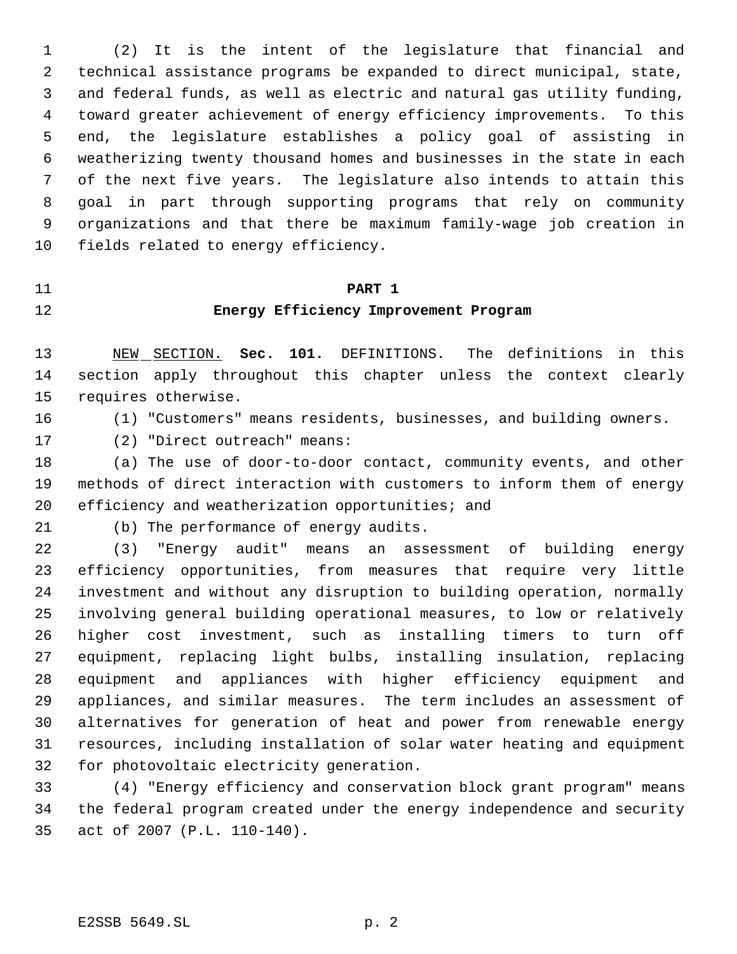(2) It is the intent of the legislature that financial and technical assistance programs be expanded to direct municipal, state, and federal funds, as well as electric and natural gas utility funding, toward greater achievement of energy efficiency improvements. To this end, the legislature establishes a policy goal of assisting in weatherizing twenty thousand homes and businesses in the state in each of the next five years. The legislature also intends to attain this goal in part through supporting programs that rely on community organizations and that there be maximum family-wage job creation in fields related to energy efficiency.

#### **PART 1**

# **Energy Efficiency Improvement Program**

 NEW SECTION. **Sec. 101.** DEFINITIONS. The definitions in this section apply throughout this chapter unless the context clearly requires otherwise.

(1) "Customers" means residents, businesses, and building owners.

(2) "Direct outreach" means:

 (a) The use of door-to-door contact, community events, and other methods of direct interaction with customers to inform them of energy efficiency and weatherization opportunities; and

(b) The performance of energy audits.

 (3) "Energy audit" means an assessment of building energy efficiency opportunities, from measures that require very little investment and without any disruption to building operation, normally involving general building operational measures, to low or relatively higher cost investment, such as installing timers to turn off equipment, replacing light bulbs, installing insulation, replacing equipment and appliances with higher efficiency equipment and appliances, and similar measures. The term includes an assessment of alternatives for generation of heat and power from renewable energy resources, including installation of solar water heating and equipment for photovoltaic electricity generation.

 (4) "Energy efficiency and conservation block grant program" means the federal program created under the energy independence and security act of 2007 (P.L. 110-140).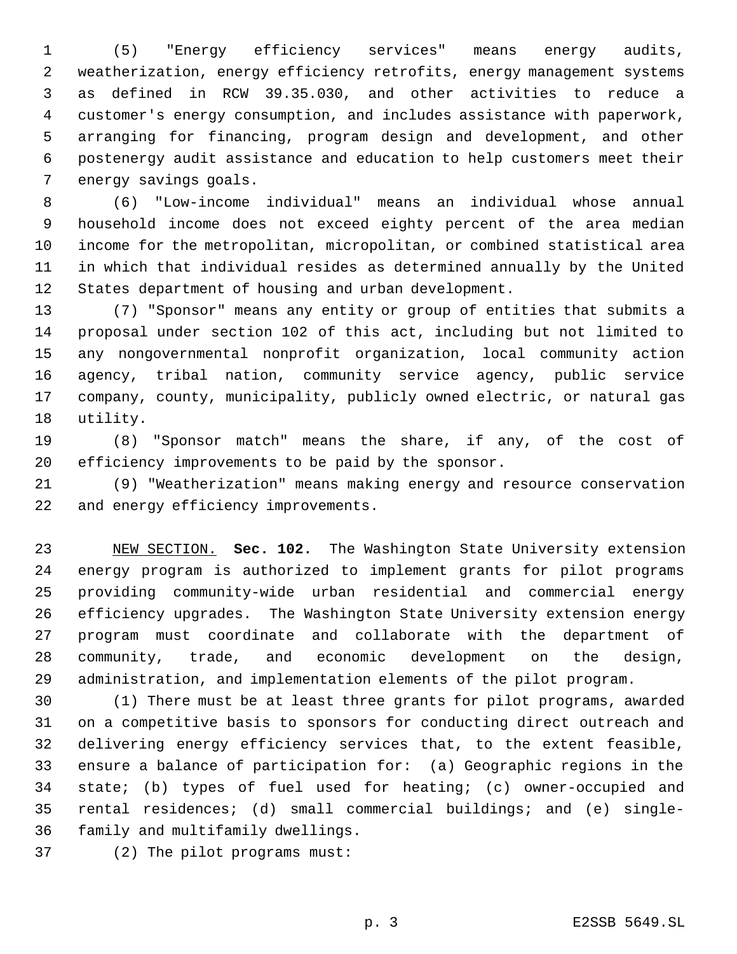(5) "Energy efficiency services" means energy audits, weatherization, energy efficiency retrofits, energy management systems as defined in RCW 39.35.030, and other activities to reduce a customer's energy consumption, and includes assistance with paperwork, arranging for financing, program design and development, and other postenergy audit assistance and education to help customers meet their energy savings goals.

 (6) "Low-income individual" means an individual whose annual household income does not exceed eighty percent of the area median income for the metropolitan, micropolitan, or combined statistical area in which that individual resides as determined annually by the United States department of housing and urban development.

 (7) "Sponsor" means any entity or group of entities that submits a proposal under section 102 of this act, including but not limited to any nongovernmental nonprofit organization, local community action agency, tribal nation, community service agency, public service company, county, municipality, publicly owned electric, or natural gas utility.

 (8) "Sponsor match" means the share, if any, of the cost of efficiency improvements to be paid by the sponsor.

 (9) "Weatherization" means making energy and resource conservation and energy efficiency improvements.

 NEW SECTION. **Sec. 102.** The Washington State University extension energy program is authorized to implement grants for pilot programs providing community-wide urban residential and commercial energy efficiency upgrades. The Washington State University extension energy program must coordinate and collaborate with the department of community, trade, and economic development on the design, administration, and implementation elements of the pilot program.

 (1) There must be at least three grants for pilot programs, awarded on a competitive basis to sponsors for conducting direct outreach and delivering energy efficiency services that, to the extent feasible, ensure a balance of participation for: (a) Geographic regions in the state; (b) types of fuel used for heating; (c) owner-occupied and rental residences; (d) small commercial buildings; and (e) single-family and multifamily dwellings.

(2) The pilot programs must: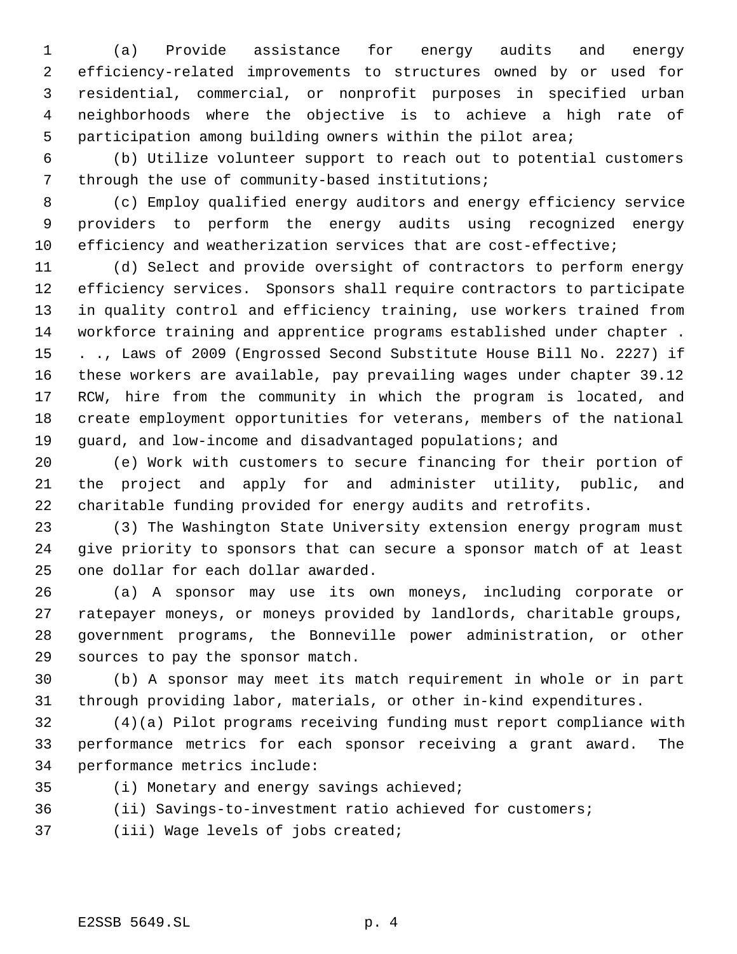(a) Provide assistance for energy audits and energy efficiency-related improvements to structures owned by or used for residential, commercial, or nonprofit purposes in specified urban neighborhoods where the objective is to achieve a high rate of participation among building owners within the pilot area;

 (b) Utilize volunteer support to reach out to potential customers through the use of community-based institutions;

 (c) Employ qualified energy auditors and energy efficiency service providers to perform the energy audits using recognized energy efficiency and weatherization services that are cost-effective;

 (d) Select and provide oversight of contractors to perform energy efficiency services. Sponsors shall require contractors to participate in quality control and efficiency training, use workers trained from workforce training and apprentice programs established under chapter . . ., Laws of 2009 (Engrossed Second Substitute House Bill No. 2227) if these workers are available, pay prevailing wages under chapter 39.12 RCW, hire from the community in which the program is located, and create employment opportunities for veterans, members of the national 19 guard, and low-income and disadvantaged populations; and

 (e) Work with customers to secure financing for their portion of the project and apply for and administer utility, public, and charitable funding provided for energy audits and retrofits.

 (3) The Washington State University extension energy program must give priority to sponsors that can secure a sponsor match of at least one dollar for each dollar awarded.

 (a) A sponsor may use its own moneys, including corporate or ratepayer moneys, or moneys provided by landlords, charitable groups, government programs, the Bonneville power administration, or other sources to pay the sponsor match.

 (b) A sponsor may meet its match requirement in whole or in part through providing labor, materials, or other in-kind expenditures.

 (4)(a) Pilot programs receiving funding must report compliance with performance metrics for each sponsor receiving a grant award. The performance metrics include:

- (i) Monetary and energy savings achieved;
- (ii) Savings-to-investment ratio achieved for customers;
- (iii) Wage levels of jobs created;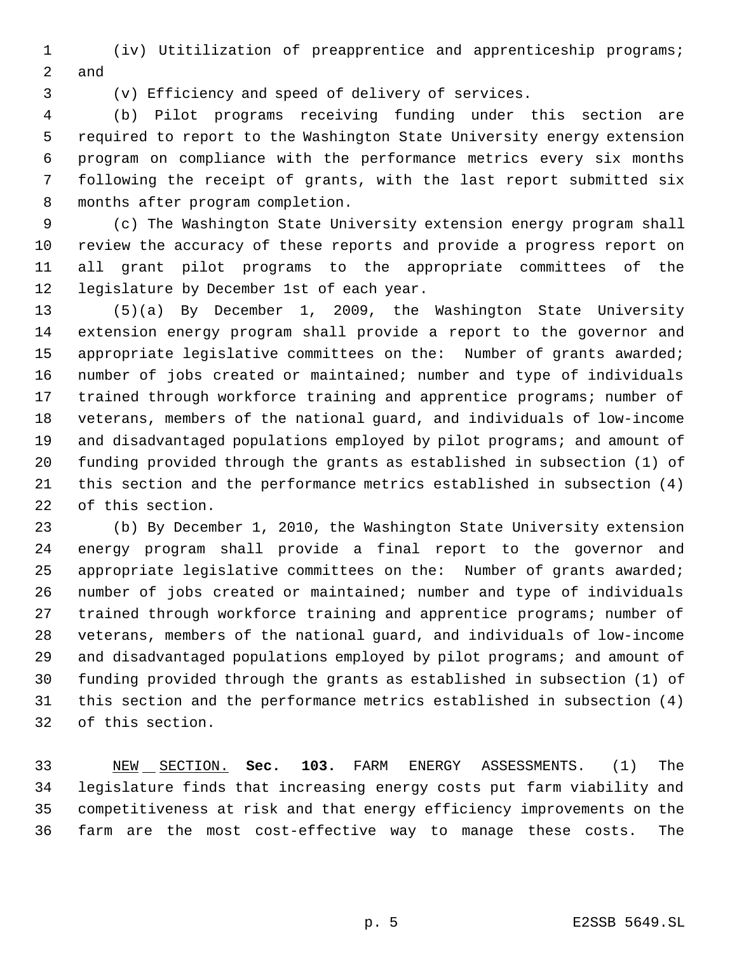(iv) Utitilization of preapprentice and apprenticeship programs; and

(v) Efficiency and speed of delivery of services.

 (b) Pilot programs receiving funding under this section are required to report to the Washington State University energy extension program on compliance with the performance metrics every six months following the receipt of grants, with the last report submitted six months after program completion.

 (c) The Washington State University extension energy program shall review the accuracy of these reports and provide a progress report on all grant pilot programs to the appropriate committees of the legislature by December 1st of each year.

 (5)(a) By December 1, 2009, the Washington State University extension energy program shall provide a report to the governor and 15 appropriate legislative committees on the: Number of grants awarded; number of jobs created or maintained; number and type of individuals trained through workforce training and apprentice programs; number of veterans, members of the national guard, and individuals of low-income 19 and disadvantaged populations employed by pilot programs; and amount of funding provided through the grants as established in subsection (1) of this section and the performance metrics established in subsection (4) of this section.

 (b) By December 1, 2010, the Washington State University extension energy program shall provide a final report to the governor and appropriate legislative committees on the: Number of grants awarded; number of jobs created or maintained; number and type of individuals trained through workforce training and apprentice programs; number of veterans, members of the national guard, and individuals of low-income 29 and disadvantaged populations employed by pilot programs; and amount of funding provided through the grants as established in subsection (1) of this section and the performance metrics established in subsection (4) of this section.

 NEW SECTION. **Sec. 103.** FARM ENERGY ASSESSMENTS. (1) The legislature finds that increasing energy costs put farm viability and competitiveness at risk and that energy efficiency improvements on the farm are the most cost-effective way to manage these costs. The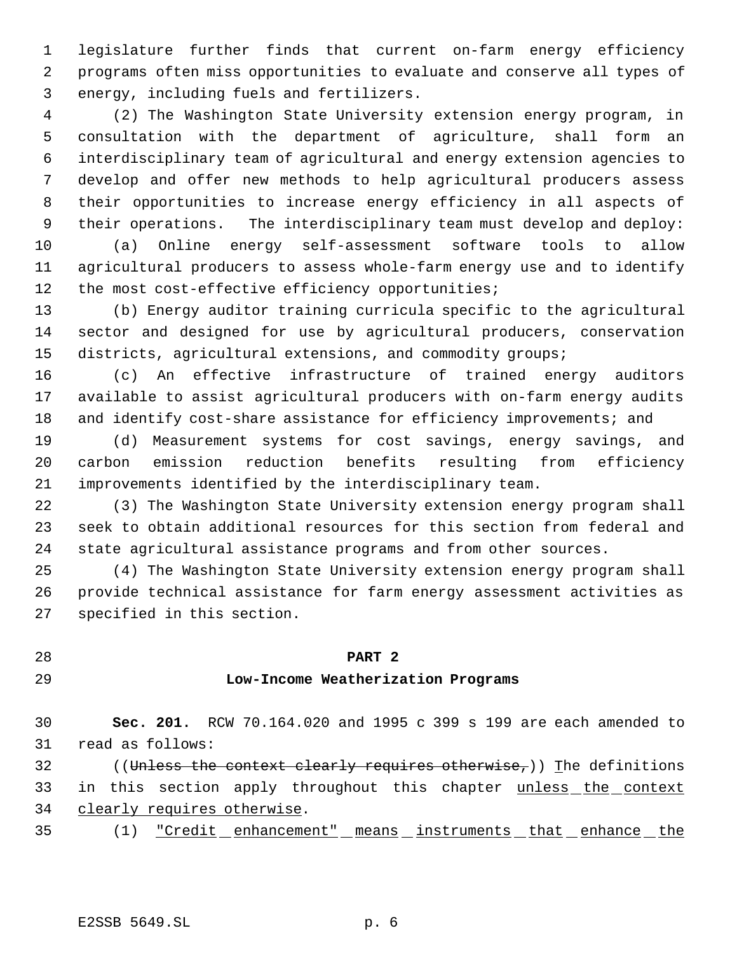legislature further finds that current on-farm energy efficiency programs often miss opportunities to evaluate and conserve all types of energy, including fuels and fertilizers.

 (2) The Washington State University extension energy program, in consultation with the department of agriculture, shall form an interdisciplinary team of agricultural and energy extension agencies to develop and offer new methods to help agricultural producers assess their opportunities to increase energy efficiency in all aspects of their operations. The interdisciplinary team must develop and deploy:

 (a) Online energy self-assessment software tools to allow agricultural producers to assess whole-farm energy use and to identify 12 the most cost-effective efficiency opportunities;

 (b) Energy auditor training curricula specific to the agricultural sector and designed for use by agricultural producers, conservation districts, agricultural extensions, and commodity groups;

 (c) An effective infrastructure of trained energy auditors available to assist agricultural producers with on-farm energy audits 18 and identify cost-share assistance for efficiency improvements; and

 (d) Measurement systems for cost savings, energy savings, and carbon emission reduction benefits resulting from efficiency improvements identified by the interdisciplinary team.

 (3) The Washington State University extension energy program shall seek to obtain additional resources for this section from federal and state agricultural assistance programs and from other sources.

 (4) The Washington State University extension energy program shall provide technical assistance for farm energy assessment activities as specified in this section.

# **PART 2**

### **Low-Income Weatherization Programs**

 **Sec. 201.** RCW 70.164.020 and 1995 c 399 s 199 are each amended to read as follows:

32 ((Unless the context clearly requires otherwise,)) The definitions 33 in this section apply throughout this chapter unless the context clearly requires otherwise.

- 
- 35 (1) <u>"Credit enhancement" means instruments that enhance the</u>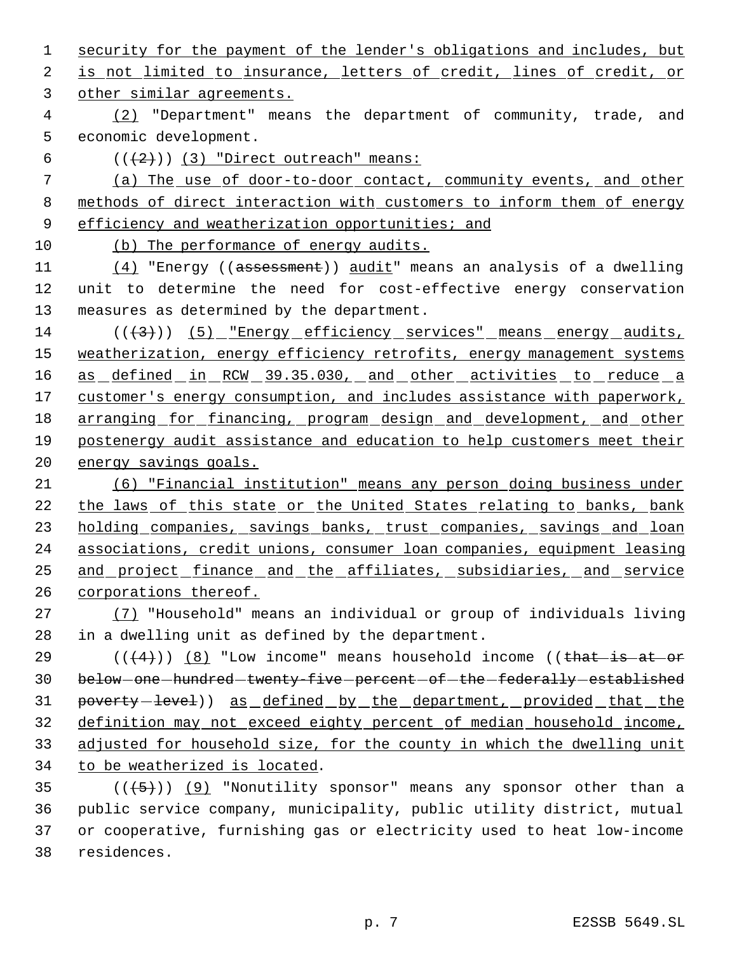1 security for the payment of the lender's obligations and includes, but 2 is not limited to insurance, letters of credit, lines of credit, or other similar agreements. (2) "Department" means the department of community, trade, and economic development.  $((+2))$   $(3)$  "Direct outreach" means: (a) The use of door-to-door contact, community events, and other methods of direct interaction with customers to inform them of energy

9 efficiency and weatherization opportunities; and

10 (b) The performance of energy audits.

11 (4) "Energy ((assessment)) audit" means an analysis of a dwelling 12 unit to determine the need for cost-effective energy conservation 13 measures as determined by the department.

14  $((+3))$  (5) "Energy efficiency services" means energy audits, 15 weatherization, energy efficiency retrofits, energy management systems 16 as defined in RCW 39.35.030, and other activities to reduce a 17 customer's energy consumption, and includes assistance with paperwork, 18 arranging for financing, program design and development, and other 19 postenergy audit assistance and education to help customers meet their 20 energy savings goals.

 (6) "Financial institution" means any person doing business under the laws of this state or the United States relating to banks, bank 23 holding companies, savings banks, trust companies, savings and loan associations, credit unions, consumer loan companies, equipment leasing and project finance and the affiliates, subsidiaries, and service corporations thereof.

27 (7) "Household" means an individual or group of individuals living 28 in a dwelling unit as defined by the department.

 $((4+))$  (8) "Low income" means household income ((that is at or 30 below-one-hundred-twenty-five-percent-of-the-federally-established 31 poverty-level)) as defined by the department, provided that the definition may not exceed eighty percent of median household income, adjusted for household size, for the county in which the dwelling unit to be weatherized is located.

35 ( $(\overline{5})$ ) (9) "Nonutility sponsor" means any sponsor other than a public service company, municipality, public utility district, mutual or cooperative, furnishing gas or electricity used to heat low-income residences.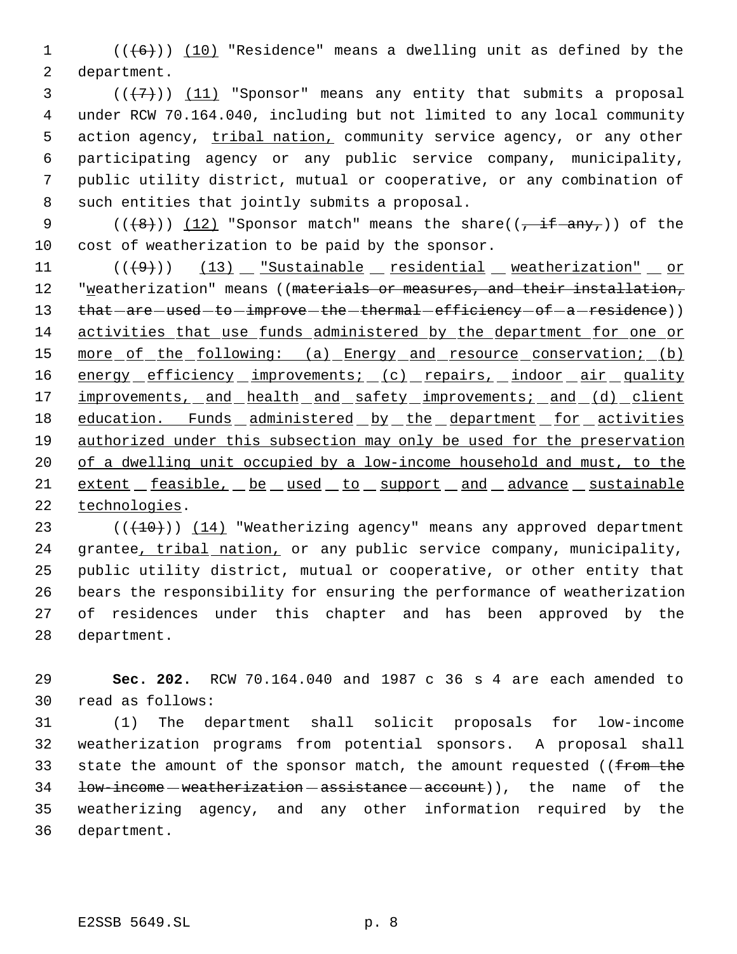1  $((+6))$   $(10)$  "Residence" means a dwelling unit as defined by the 2 department.

 $(1, 2)$  ( $(1, 7)$ ) (11) "Sponsor" means any entity that submits a proposal under RCW 70.164.040, including but not limited to any local community 5 action agency, tribal nation, community service agency, or any other participating agency or any public service company, municipality, public utility district, mutual or cooperative, or any combination of such entities that jointly submits a proposal.

9 ( $(\frac{12}{12})$  "Sponsor match" means the share( $\frac{1}{2}$  if any,)) of the 10 cost of weatherization to be paid by the sponsor.

11  $((+9))$   $(13)$   $x^2$  sustainable residential weatherization" or 12 "weatherization" means ((materials or measures, and their installation, 13 that - are - used - to - improve - the - thermal - efficiency - of - a - residence)) 14 activities that use funds administered by the department for one or 15 more of the following: (a) Energy and resource conservation; (b) 16 energy efficiency improvements; (c) repairs, indoor air quality 17 improvements, and health and safety improvements; and (d) client 18 education. Funds administered by the department for activities 19 authorized under this subsection may only be used for the preservation 20 of a dwelling unit occupied by a low-income household and must, to the 21 extent feasible, be used to support and advance sustainable 22 technologies.

 $((+10))$   $(14)$  "Weatherizing agency" means any approved department 24 grantee, tribal nation, or any public service company, municipality, public utility district, mutual or cooperative, or other entity that bears the responsibility for ensuring the performance of weatherization of residences under this chapter and has been approved by the department.

29 **Sec. 202.** RCW 70.164.040 and 1987 c 36 s 4 are each amended to 30 read as follows:

 (1) The department shall solicit proposals for low-income weatherization programs from potential sponsors. A proposal shall 33 state the amount of the sponsor match, the amount requested ((from the 34 <del>low-income weatherization assistance account</del>)), the name of the weatherizing agency, and any other information required by the department.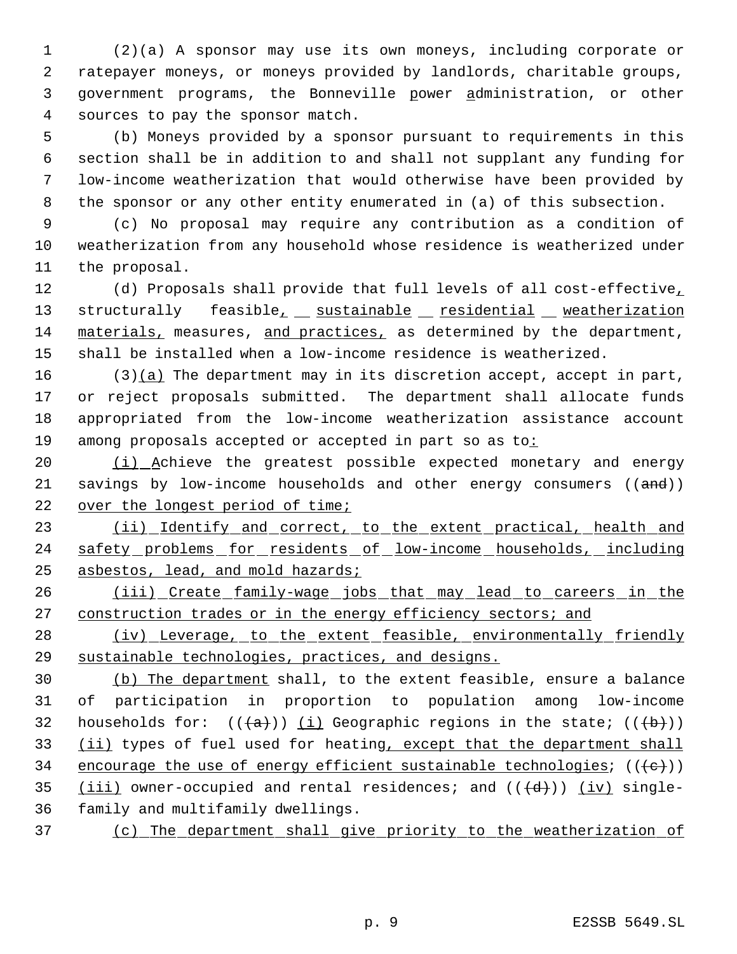(2)(a) A sponsor may use its own moneys, including corporate or ratepayer moneys, or moneys provided by landlords, charitable groups, government programs, the Bonneville power administration, or other sources to pay the sponsor match.

 (b) Moneys provided by a sponsor pursuant to requirements in this section shall be in addition to and shall not supplant any funding for low-income weatherization that would otherwise have been provided by the sponsor or any other entity enumerated in (a) of this subsection.

 (c) No proposal may require any contribution as a condition of weatherization from any household whose residence is weatherized under the proposal.

 (d) Proposals shall provide that full levels of all cost-effective, 13 structurally feasible<sub>1</sub> sustainable residential weatherization materials, measures, and practices, as determined by the department, shall be installed when a low-income residence is weatherized.

 (3)(a) The department may in its discretion accept, accept in part, or reject proposals submitted. The department shall allocate funds appropriated from the low-income weatherization assistance account 19 among proposals accepted or accepted in part so as to:

20 (i) Achieve the greatest possible expected monetary and energy 21 savings by low-income households and other energy consumers ((and)) 22 over the longest period of time;

23 (ii) Identify and correct, to the extent practical, health and 24 safety problems for residents of low-income households, including asbestos, lead, and mold hazards;

26 (iii) Create family-wage jobs that may lead to careers in the 27 construction trades or in the energy efficiency sectors; and

28 (iv) Leverage, to the extent feasible, environmentally friendly sustainable technologies, practices, and designs.

 (b) The department shall, to the extent feasible, ensure a balance of participation in proportion to population among low-income 32 households for:  $((+a))$  (i) Geographic regions in the state;  $((+b))$ 33 (ii) types of fuel used for heating, except that the department shall 34 encourage the use of energy efficient sustainable technologies;  $((+e))$ 35 (iii) owner-occupied and rental residences; and  $((+d))$  (iv) single-family and multifamily dwellings.

(c) The department shall give priority to the weatherization of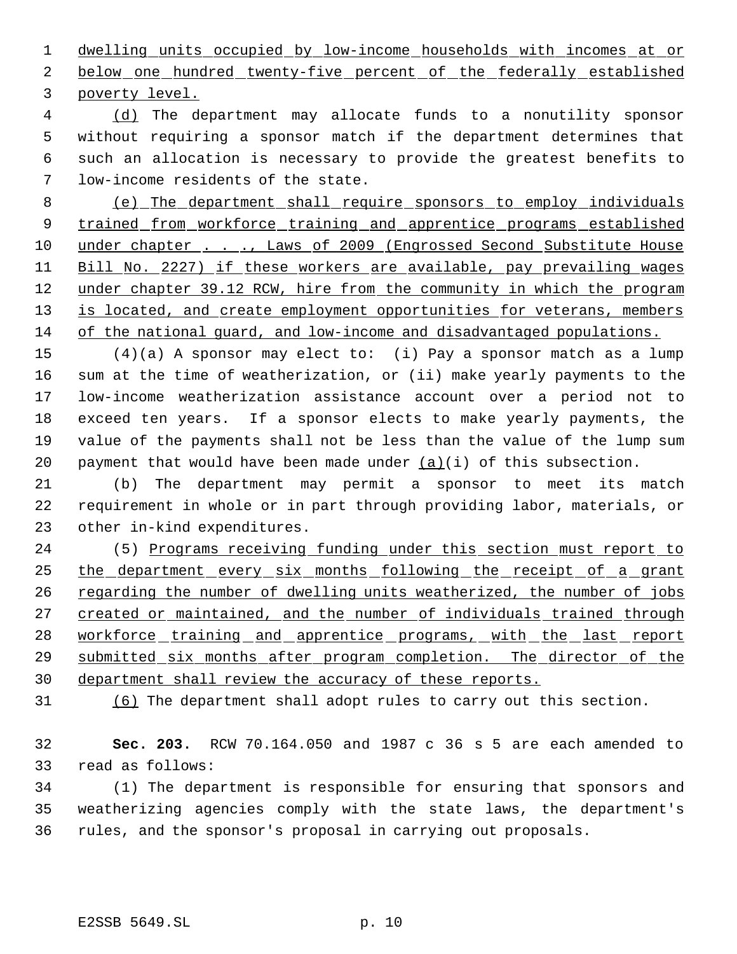dwelling units occupied by low-income households with incomes at or 2 below one hundred twenty-five percent of the federally established poverty level.

 (d) The department may allocate funds to a nonutility sponsor without requiring a sponsor match if the department determines that such an allocation is necessary to provide the greatest benefits to low-income residents of the state.

 (e) The department shall require sponsors to employ individuals 9 trained from workforce training and apprentice programs established 10 under chapter . . ., Laws of 2009 (Engrossed Second Substitute House Bill No. 2227) if these workers are available, pay prevailing wages 12 under chapter 39.12 RCW, hire from the community in which the program 13 is located, and create employment opportunities for veterans, members of the national guard, and low-income and disadvantaged populations.

 (4)(a) A sponsor may elect to: (i) Pay a sponsor match as a lump sum at the time of weatherization, or (ii) make yearly payments to the low-income weatherization assistance account over a period not to exceed ten years. If a sponsor elects to make yearly payments, the value of the payments shall not be less than the value of the lump sum 20 payment that would have been made under  $(a)(i)$  of this subsection.

 (b) The department may permit a sponsor to meet its match requirement in whole or in part through providing labor, materials, or other in-kind expenditures.

 (5) Programs receiving funding under this section must report to the department every six months following the receipt of a grant 26 regarding the number of dwelling units weatherized, the number of jobs 27 created or maintained, and the number of individuals trained through 28 workforce training and apprentice programs, with the last report submitted six months after program completion. The director of the department shall review the accuracy of these reports.

(6) The department shall adopt rules to carry out this section.

 **Sec. 203.** RCW 70.164.050 and 1987 c 36 s 5 are each amended to read as follows:

 (1) The department is responsible for ensuring that sponsors and weatherizing agencies comply with the state laws, the department's rules, and the sponsor's proposal in carrying out proposals.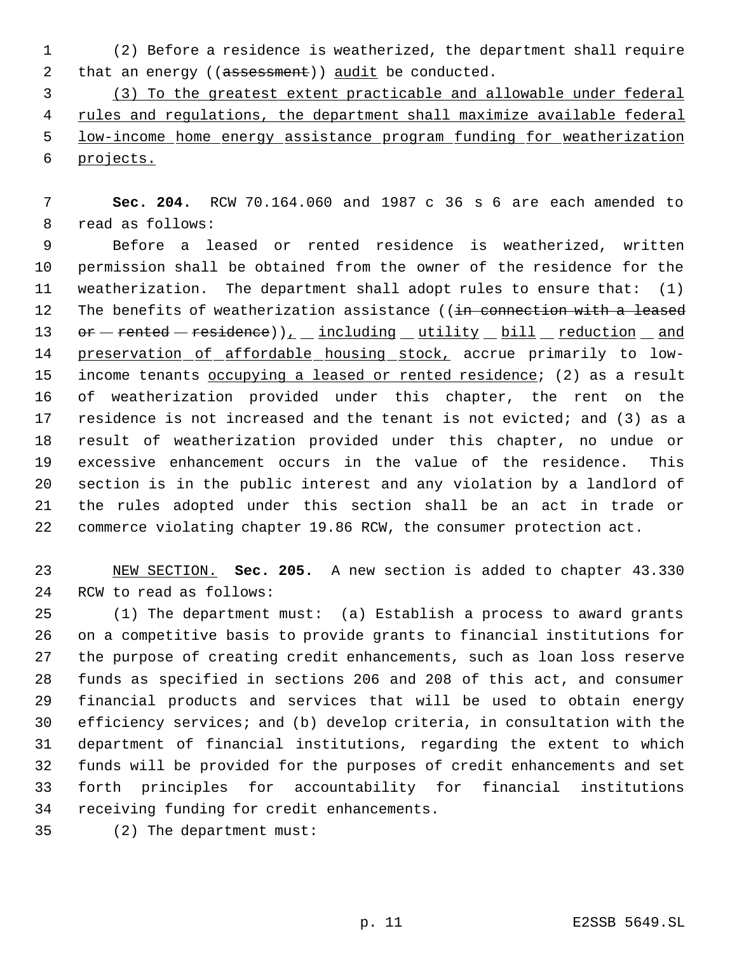(2) Before a residence is weatherized, the department shall require 2 that an energy ((assessment)) audit be conducted.

 (3) To the greatest extent practicable and allowable under federal 4 rules and regulations, the department shall maximize available federal low-income home energy assistance program funding for weatherization projects.

 **Sec. 204.** RCW 70.164.060 and 1987 c 36 s 6 are each amended to read as follows:

 Before a leased or rented residence is weatherized, written permission shall be obtained from the owner of the residence for the weatherization. The department shall adopt rules to ensure that: (1) 12 The benefits of weatherization assistance ((in connection with a leased 13 or rented residence)), including utility bill reduction and 14 preservation of affordable housing stock, accrue primarily to low-15 income tenants occupying a leased or rented residence; (2) as a result of weatherization provided under this chapter, the rent on the residence is not increased and the tenant is not evicted; and (3) as a result of weatherization provided under this chapter, no undue or excessive enhancement occurs in the value of the residence. This section is in the public interest and any violation by a landlord of the rules adopted under this section shall be an act in trade or commerce violating chapter 19.86 RCW, the consumer protection act.

 NEW SECTION. **Sec. 205.** A new section is added to chapter 43.330 RCW to read as follows:

 (1) The department must: (a) Establish a process to award grants on a competitive basis to provide grants to financial institutions for the purpose of creating credit enhancements, such as loan loss reserve funds as specified in sections 206 and 208 of this act, and consumer financial products and services that will be used to obtain energy efficiency services; and (b) develop criteria, in consultation with the department of financial institutions, regarding the extent to which funds will be provided for the purposes of credit enhancements and set forth principles for accountability for financial institutions receiving funding for credit enhancements.

(2) The department must: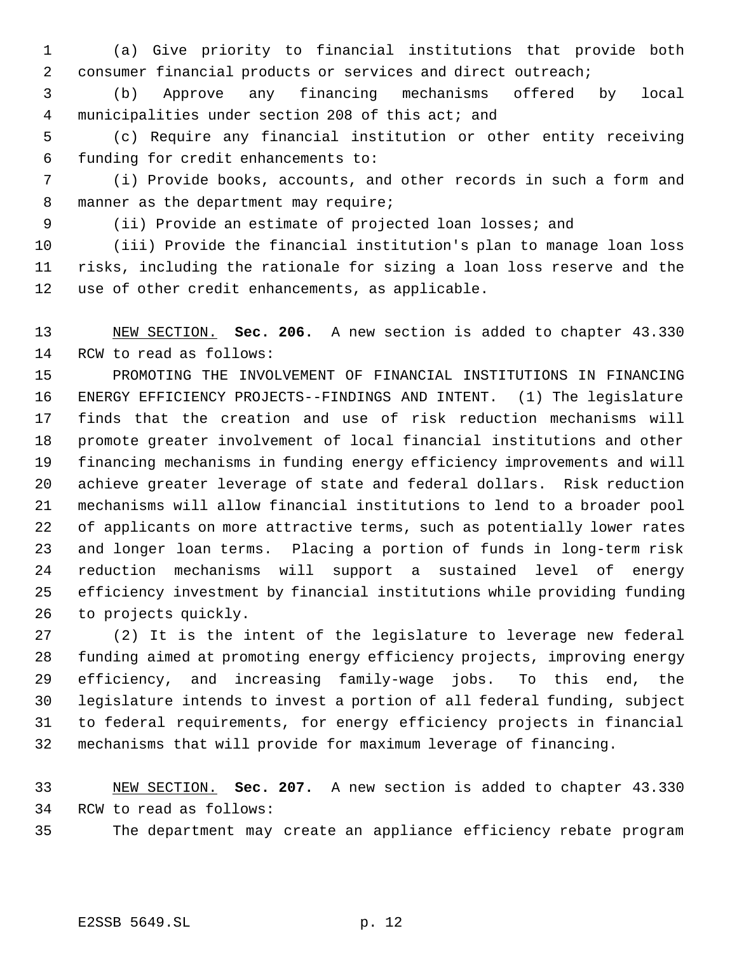(a) Give priority to financial institutions that provide both consumer financial products or services and direct outreach;

 (b) Approve any financing mechanisms offered by local municipalities under section 208 of this act; and

 (c) Require any financial institution or other entity receiving funding for credit enhancements to:

 (i) Provide books, accounts, and other records in such a form and 8 manner as the department may require;

(ii) Provide an estimate of projected loan losses; and

 (iii) Provide the financial institution's plan to manage loan loss risks, including the rationale for sizing a loan loss reserve and the use of other credit enhancements, as applicable.

 NEW SECTION. **Sec. 206.** A new section is added to chapter 43.330 RCW to read as follows:

 PROMOTING THE INVOLVEMENT OF FINANCIAL INSTITUTIONS IN FINANCING ENERGY EFFICIENCY PROJECTS--FINDINGS AND INTENT. (1) The legislature finds that the creation and use of risk reduction mechanisms will promote greater involvement of local financial institutions and other financing mechanisms in funding energy efficiency improvements and will achieve greater leverage of state and federal dollars. Risk reduction mechanisms will allow financial institutions to lend to a broader pool of applicants on more attractive terms, such as potentially lower rates and longer loan terms. Placing a portion of funds in long-term risk reduction mechanisms will support a sustained level of energy efficiency investment by financial institutions while providing funding to projects quickly.

 (2) It is the intent of the legislature to leverage new federal funding aimed at promoting energy efficiency projects, improving energy efficiency, and increasing family-wage jobs. To this end, the legislature intends to invest a portion of all federal funding, subject to federal requirements, for energy efficiency projects in financial mechanisms that will provide for maximum leverage of financing.

 NEW SECTION. **Sec. 207.** A new section is added to chapter 43.330 RCW to read as follows:

The department may create an appliance efficiency rebate program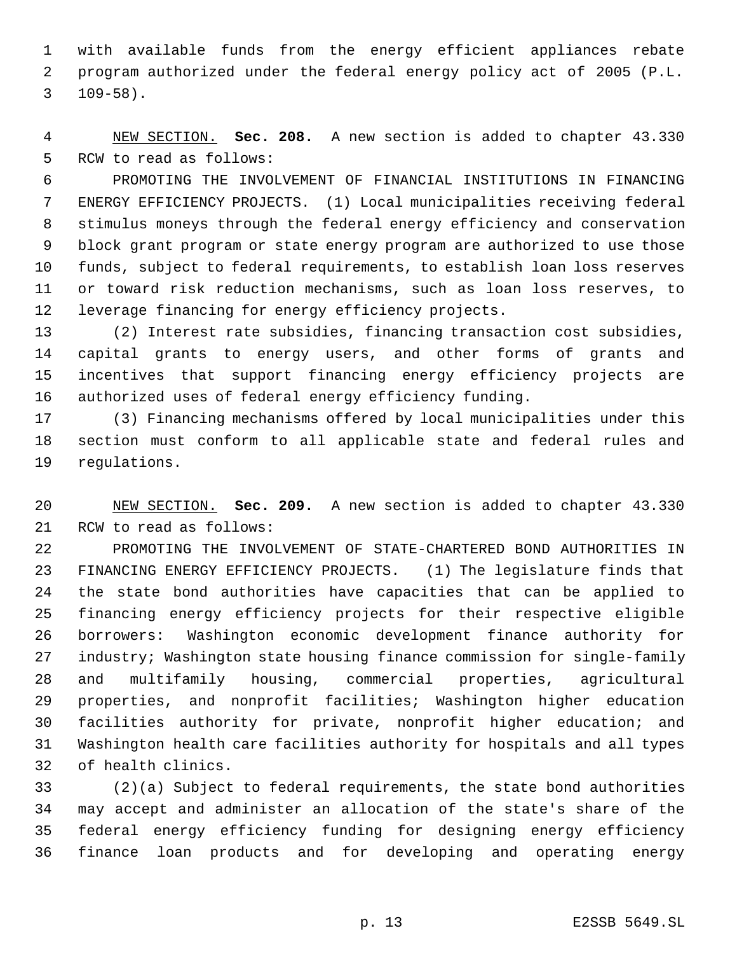with available funds from the energy efficient appliances rebate program authorized under the federal energy policy act of 2005 (P.L. 109-58).

 NEW SECTION. **Sec. 208.** A new section is added to chapter 43.330 RCW to read as follows:

 PROMOTING THE INVOLVEMENT OF FINANCIAL INSTITUTIONS IN FINANCING ENERGY EFFICIENCY PROJECTS. (1) Local municipalities receiving federal stimulus moneys through the federal energy efficiency and conservation block grant program or state energy program are authorized to use those funds, subject to federal requirements, to establish loan loss reserves or toward risk reduction mechanisms, such as loan loss reserves, to leverage financing for energy efficiency projects.

 (2) Interest rate subsidies, financing transaction cost subsidies, capital grants to energy users, and other forms of grants and incentives that support financing energy efficiency projects are authorized uses of federal energy efficiency funding.

 (3) Financing mechanisms offered by local municipalities under this section must conform to all applicable state and federal rules and regulations.

 NEW SECTION. **Sec. 209.** A new section is added to chapter 43.330 RCW to read as follows:

 PROMOTING THE INVOLVEMENT OF STATE-CHARTERED BOND AUTHORITIES IN FINANCING ENERGY EFFICIENCY PROJECTS. (1) The legislature finds that the state bond authorities have capacities that can be applied to financing energy efficiency projects for their respective eligible borrowers: Washington economic development finance authority for industry; Washington state housing finance commission for single-family and multifamily housing, commercial properties, agricultural properties, and nonprofit facilities; Washington higher education facilities authority for private, nonprofit higher education; and Washington health care facilities authority for hospitals and all types of health clinics.

 (2)(a) Subject to federal requirements, the state bond authorities may accept and administer an allocation of the state's share of the federal energy efficiency funding for designing energy efficiency finance loan products and for developing and operating energy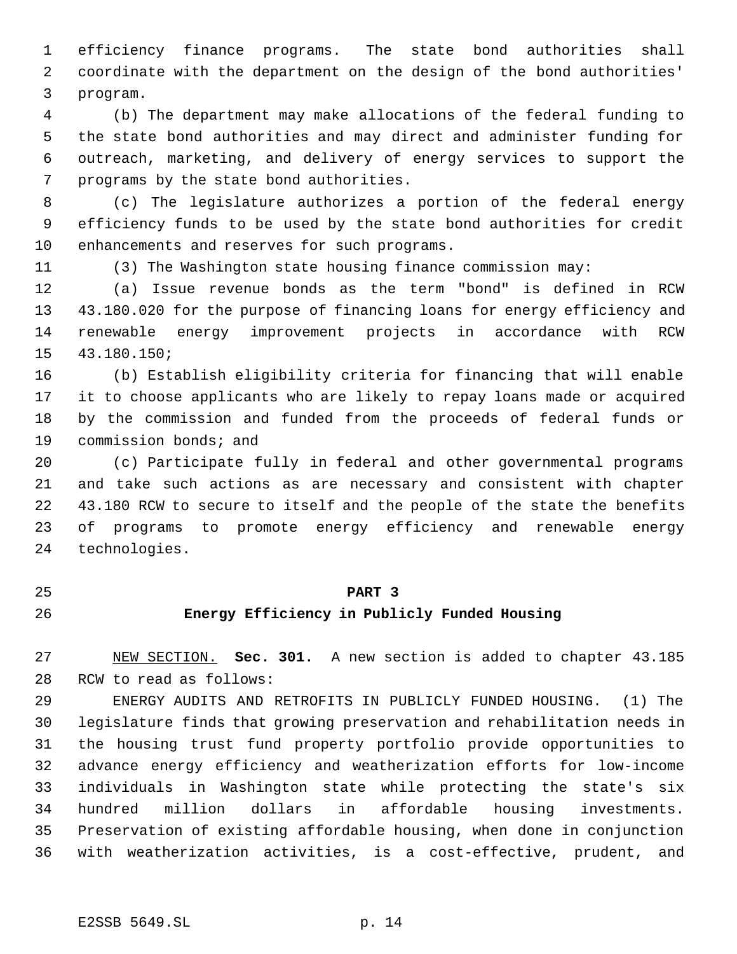efficiency finance programs. The state bond authorities shall coordinate with the department on the design of the bond authorities' program.

 (b) The department may make allocations of the federal funding to the state bond authorities and may direct and administer funding for outreach, marketing, and delivery of energy services to support the programs by the state bond authorities.

 (c) The legislature authorizes a portion of the federal energy efficiency funds to be used by the state bond authorities for credit enhancements and reserves for such programs.

(3) The Washington state housing finance commission may:

 (a) Issue revenue bonds as the term "bond" is defined in RCW 43.180.020 for the purpose of financing loans for energy efficiency and renewable energy improvement projects in accordance with RCW 43.180.150;

 (b) Establish eligibility criteria for financing that will enable it to choose applicants who are likely to repay loans made or acquired by the commission and funded from the proceeds of federal funds or commission bonds; and

 (c) Participate fully in federal and other governmental programs and take such actions as are necessary and consistent with chapter 43.180 RCW to secure to itself and the people of the state the benefits of programs to promote energy efficiency and renewable energy technologies.

# **PART 3**

# **Energy Efficiency in Publicly Funded Housing**

 NEW SECTION. **Sec. 301.** A new section is added to chapter 43.185 RCW to read as follows:

 ENERGY AUDITS AND RETROFITS IN PUBLICLY FUNDED HOUSING. (1) The legislature finds that growing preservation and rehabilitation needs in the housing trust fund property portfolio provide opportunities to advance energy efficiency and weatherization efforts for low-income individuals in Washington state while protecting the state's six hundred million dollars in affordable housing investments. Preservation of existing affordable housing, when done in conjunction with weatherization activities, is a cost-effective, prudent, and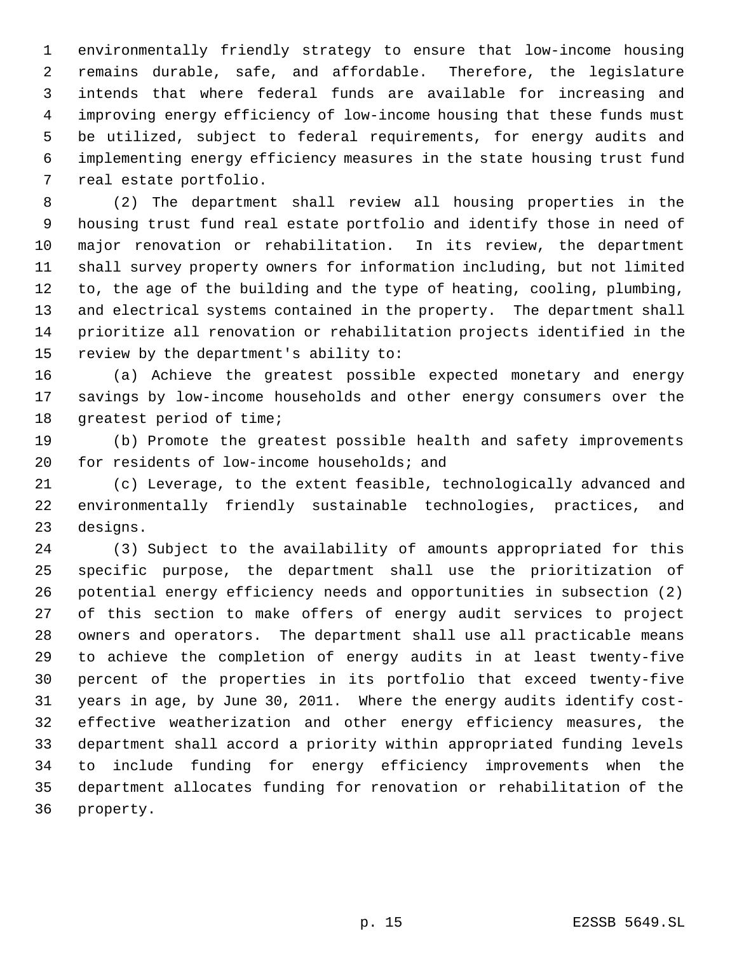environmentally friendly strategy to ensure that low-income housing remains durable, safe, and affordable. Therefore, the legislature intends that where federal funds are available for increasing and improving energy efficiency of low-income housing that these funds must be utilized, subject to federal requirements, for energy audits and implementing energy efficiency measures in the state housing trust fund real estate portfolio.

 (2) The department shall review all housing properties in the housing trust fund real estate portfolio and identify those in need of major renovation or rehabilitation. In its review, the department shall survey property owners for information including, but not limited to, the age of the building and the type of heating, cooling, plumbing, and electrical systems contained in the property. The department shall prioritize all renovation or rehabilitation projects identified in the review by the department's ability to:

 (a) Achieve the greatest possible expected monetary and energy savings by low-income households and other energy consumers over the 18 greatest period of time;

 (b) Promote the greatest possible health and safety improvements for residents of low-income households; and

 (c) Leverage, to the extent feasible, technologically advanced and environmentally friendly sustainable technologies, practices, and designs.

 (3) Subject to the availability of amounts appropriated for this specific purpose, the department shall use the prioritization of potential energy efficiency needs and opportunities in subsection (2) of this section to make offers of energy audit services to project owners and operators. The department shall use all practicable means to achieve the completion of energy audits in at least twenty-five percent of the properties in its portfolio that exceed twenty-five years in age, by June 30, 2011. Where the energy audits identify cost- effective weatherization and other energy efficiency measures, the department shall accord a priority within appropriated funding levels to include funding for energy efficiency improvements when the department allocates funding for renovation or rehabilitation of the property.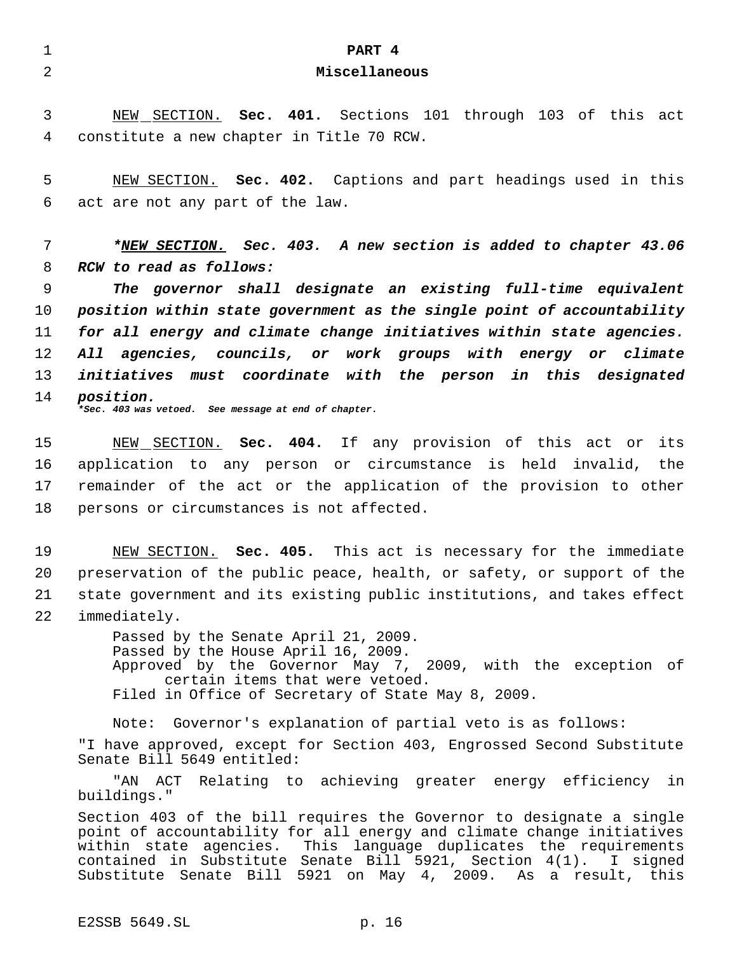1 **PART 4** 2 **Miscellaneous** 3 NEW SECTION. **Sec. 401.** Sections 101 through 103 of this act 4 constitute a new chapter in Title 70 RCW. 5 NEW SECTION. **Sec. 402.** Captions and part headings used in this 6 act are not any part of the law. 7 *\*NEW SECTION. Sec. 403. A new section is added to chapter 43.06* 8 *RCW to read as follows:* 9 *The governor shall designate an existing full-time equivalent* 10 *position within state government as the single point of accountability* 11 *for all energy and climate change initiatives within state agencies.* 12 *All agencies, councils, or work groups with energy or climate* 13 *initiatives must coordinate with the person in this designated* 14 *position. \*Sec. 403 was vetoed. See message at end of chapter.* 15 NEW SECTION. **Sec. 404.** If any provision of this act or its 16 application to any person or circumstance is held invalid, the 17 remainder of the act or the application of the provision to other 18 persons or circumstances is not affected. 19 NEW SECTION. **Sec. 405.** This act is necessary for the immediate 20 preservation of the public peace, health, or safety, or support of the 21 state government and its existing public institutions, and takes effect 22 immediately. Passed by the Senate April 21, 2009. Passed by the House April 16, 2009. Approved by the Governor May 7, 2009, with the exception of certain items that were vetoed. Filed in Office of Secretary of State May 8, 2009. Note: Governor's explanation of partial veto is as follows: "I have approved, except for Section 403, Engrossed Second Substitute Senate Bill 5649 entitled: "AN ACT Relating to achieving greater energy efficiency in buildings." Section 403 of the bill requires the Governor to designate a single point of accountability for all energy and climate change initiatives within state agencies. This language duplicates the requirements contained in Substitute Senate Bill 5921, Section 4(1). I signed